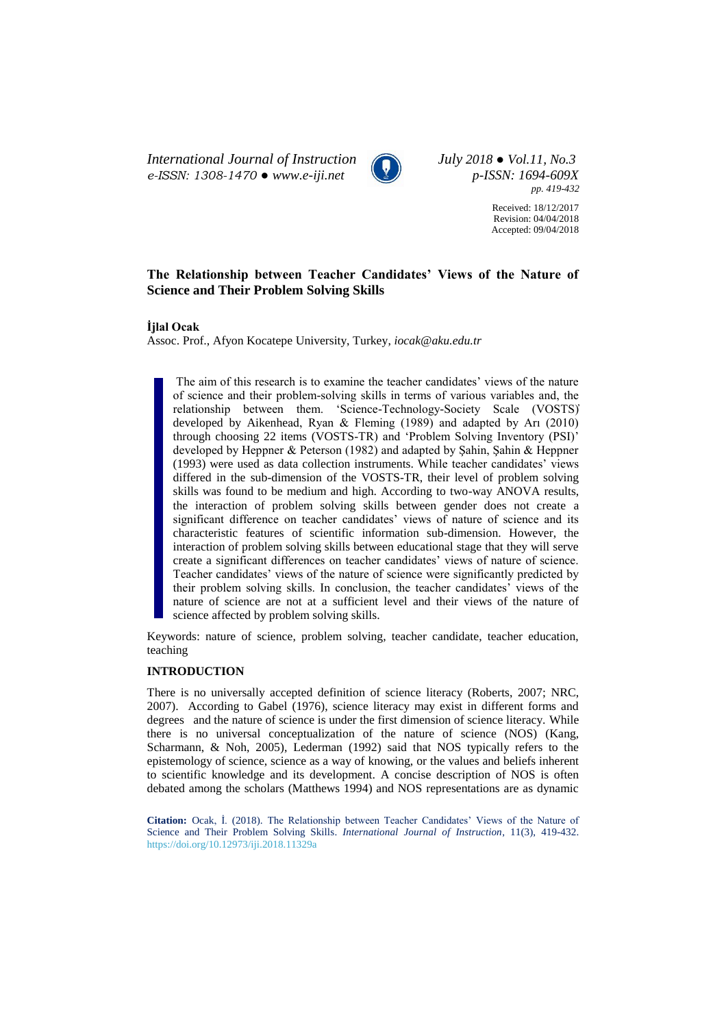*International Journal of Instruction July 2018 ● Vol.11, No.3 e-ISSN: 1308-1470 ● [www.e-iji.net](http://www.e-iji.net/) p-ISSN: 1694-609X*



*pp. 419-432*

Received: 18/12/2017 Revision: 04/04/2018 Accepted: 09/04/2018

# **The Relationship between Teacher Candidates' Views of the Nature of Science and Their Problem Solving Skills**

# **İjlal Ocak**

Assoc. Prof., Afyon Kocatepe University, Turkey, *iocak@aku.edu.tr*

The aim of this research is to examine the teacher candidates' views of the nature of science and their problem-solving skills in terms of various variables and, the relationship between them. 'Science-Technology-Society Scale (VOSTS)̓ developed by Aikenhead, Ryan & Fleming (1989) and adapted by Arı (2010) through choosing 22 items (VOSTS-TR) and 'Problem Solving Inventory (PSI)' developed by Heppner & Peterson (1982) and adapted by Şahin, Şahin & Heppner (1993) were used as data collection instruments. While teacher candidates' views differed in the sub-dimension of the VOSTS-TR, their level of problem solving skills was found to be medium and high. According to two-way ANOVA results, the interaction of problem solving skills between gender does not create a significant difference on teacher candidates' views of nature of science and its characteristic features of scientific information sub-dimension. However, the interaction of problem solving skills between educational stage that they will serve create a significant differences on teacher candidates' views of nature of science. Teacher candidates' views of the nature of science were significantly predicted by their problem solving skills. In conclusion, the teacher candidates' views of the nature of science are not at a sufficient level and their views of the nature of science affected by problem solving skills.

Keywords: nature of science, problem solving, teacher candidate, teacher education, teaching

# **INTRODUCTION**

There is no universally accepted definition of science literacy (Roberts, 2007; NRC, 2007). According to Gabel (1976), science literacy may exist in different forms and degrees and the nature of science is under the first dimension of science literacy. While there is no universal conceptualization of the nature of science (NOS) (Kang, Scharmann, & Noh, 2005), Lederman (1992) said that NOS typically refers to the epistemology of science, science as a way of knowing, or the values and beliefs inherent to scientific knowledge and its development. A concise description of NOS is often debated among the scholars (Matthews 1994) and NOS representations are as dynamic

**Citation:** Ocak, İ. (2018). The Relationship between Teacher Candidates' Views of the Nature of Science and Their Problem Solving Skills. *International Journal of Instruction*, 11(3), 419-432. <https://doi.org/10.12973/iji.2018.11329a>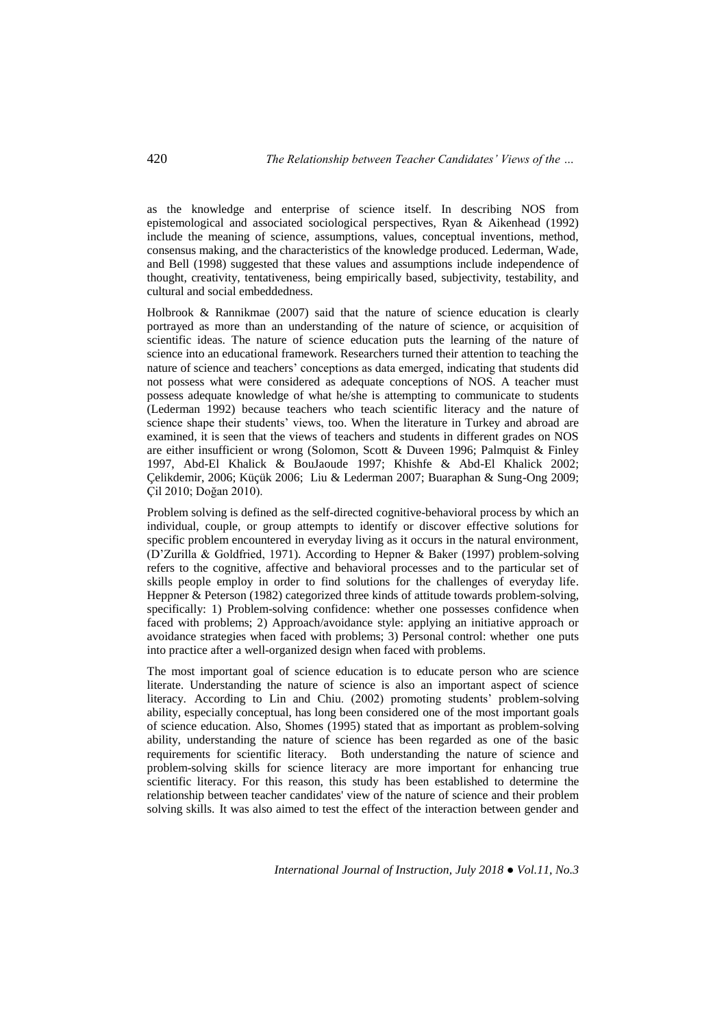as the knowledge and enterprise of science itself. In describing NOS from epistemological and associated sociological perspectives, Ryan & Aikenhead (1992) include the meaning of science, assumptions, values, conceptual inventions, method, consensus making, and the characteristics of the knowledge produced. Lederman, Wade, and Bell (1998) suggested that these values and assumptions include independence of thought, creativity, tentativeness, being empirically based, subjectivity, testability, and cultural and social embeddedness.

Holbrook & Rannikmae (2007) said that the nature of science education is clearly portrayed as more than an understanding of the nature of science, or acquisition of scientific ideas. The nature of science education puts the learning of the nature of science into an educational framework. Researchers turned their attention to teaching the nature of science and teachers' conceptions as data emerged, indicating that students did not possess what were considered as adequate conceptions of NOS. A teacher must possess adequate knowledge of what he/she is attempting to communicate to students (Lederman 1992) because teachers who teach scientific literacy and the nature of science shape their students' views, too. When the literature in Turkey and abroad are examined, it is seen that the views of teachers and students in different grades on NOS are either insufficient or wrong (Solomon, Scott & Duveen 1996; Palmquist & Finley 1997, Abd-El Khalick & BouJaoude 1997; Khishfe & Abd-El Khalick 2002; Çelikdemir, 2006; Küçük 2006; Liu & Lederman 2007; Buaraphan & Sung-Ong 2009; Çil 2010; Doğan 2010).

Problem solving is defined as the self-directed cognitive-behavioral process by which an individual, couple, or group attempts to identify or discover effective solutions for specific problem encountered in everyday living as it occurs in the natural environment, (D'Zurilla & Goldfried, 1971). According to Hepner & Baker (1997) problem-solving refers to the cognitive, affective and behavioral processes and to the particular set of skills people employ in order to find solutions for the challenges of everyday life. Heppner & Peterson (1982) categorized three kinds of attitude towards problem-solving, specifically: 1) Problem-solving confidence: whether one possesses confidence when faced with problems; 2) Approach/avoidance style: applying an initiative approach or avoidance strategies when faced with problems; 3) Personal control: whether one puts into practice after a well-organized design when faced with problems.

The most important goal of science education is to educate person who are science literate. Understanding the nature of science is also an important aspect of science literacy. According to Lin and Chiu. (2002) promoting students' problem-solving ability, especially conceptual, has long been considered one of the most important goals of science education. Also, Shomes (1995) stated that as important as problem-solving ability, understanding the nature of science has been regarded as one of the basic requirements for scientific literacy. Both understanding the nature of science and problem-solving skills for science literacy are more important for enhancing true scientific literacy. For this reason, this study has been established to determine the relationship between teacher candidates' view of the nature of science and their problem solving skills. It was also aimed to test the effect of the interaction between gender and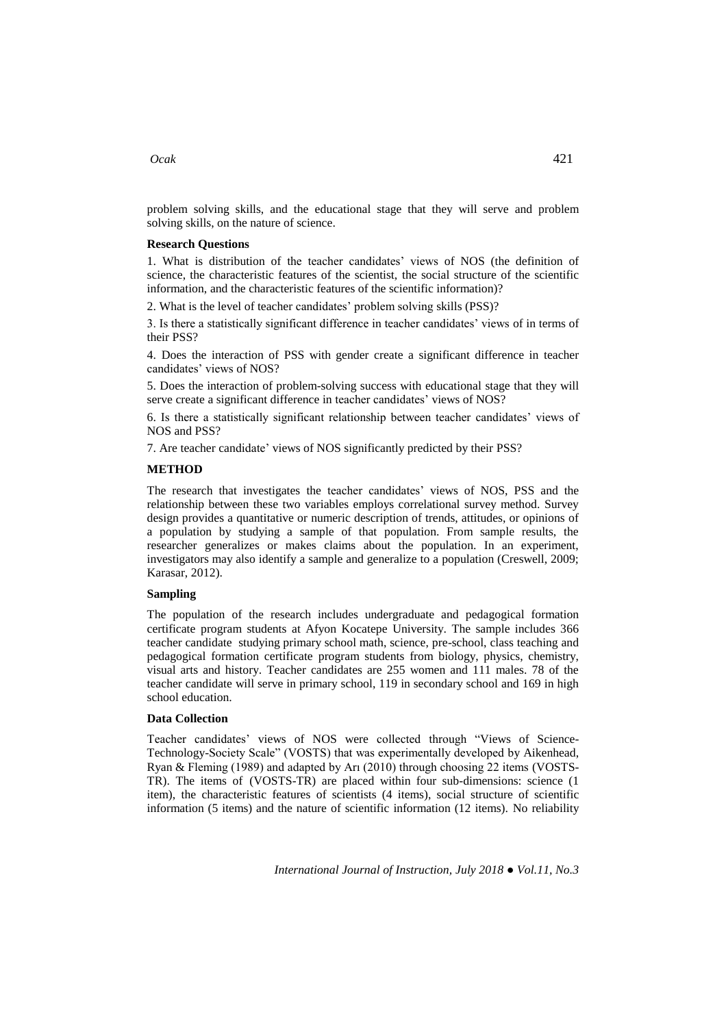problem solving skills, and the educational stage that they will serve and problem solving skills, on the nature of science.

## **Research Questions**

1. What is distribution of the teacher candidates' views of NOS (the definition of science, the characteristic features of the scientist, the social structure of the scientific information, and the characteristic features of the scientific information)?

2. What is the level of teacher candidates' problem solving skills (PSS)?

3. Is there a statistically significant difference in teacher candidates' views of in terms of their PSS?

4. Does the interaction of PSS with gender create a significant difference in teacher candidates' views of NOS?

5. Does the interaction of problem-solving success with educational stage that they will serve create a significant difference in teacher candidates' views of NOS?

6. Is there a statistically significant relationship between teacher candidates' views of NOS and PSS?

7. Are teacher candidate' views of NOS significantly predicted by their PSS?

#### **METHOD**

The research that investigates the teacher candidates' views of NOS, PSS and the relationship between these two variables employs correlational survey method. Survey design provides a quantitative or numeric description of trends, attitudes, or opinions of a population by studying a sample of that population. From sample results, the researcher generalizes or makes claims about the population. In an experiment, investigators may also identify a sample and generalize to a population (Creswell, 2009; Karasar, 2012).

# **Sampling**

The population of the research includes undergraduate and pedagogical formation certificate program students at Afyon Kocatepe University. The sample includes 366 teacher candidate studying primary school math, science, pre-school, class teaching and pedagogical formation certificate program students from biology, physics, chemistry, visual arts and history. Teacher candidates are 255 women and 111 males. 78 of the teacher candidate will serve in primary school, 119 in secondary school and 169 in high school education.

#### **Data Collection**

Teacher candidates' views of NOS were collected through "Views of Science-Technology-Society Scale" (VOSTS) that was experimentally developed by Aikenhead, Ryan & Fleming (1989) and adapted by Arı (2010) through choosing 22 items (VOSTS-TR). The items of (VOSTS-TR) are placed within four sub-dimensions: science (1 item), the characteristic features of scientists (4 items), social structure of scientific information (5 items) and the nature of scientific information (12 items). No reliability

## *Ocak* 421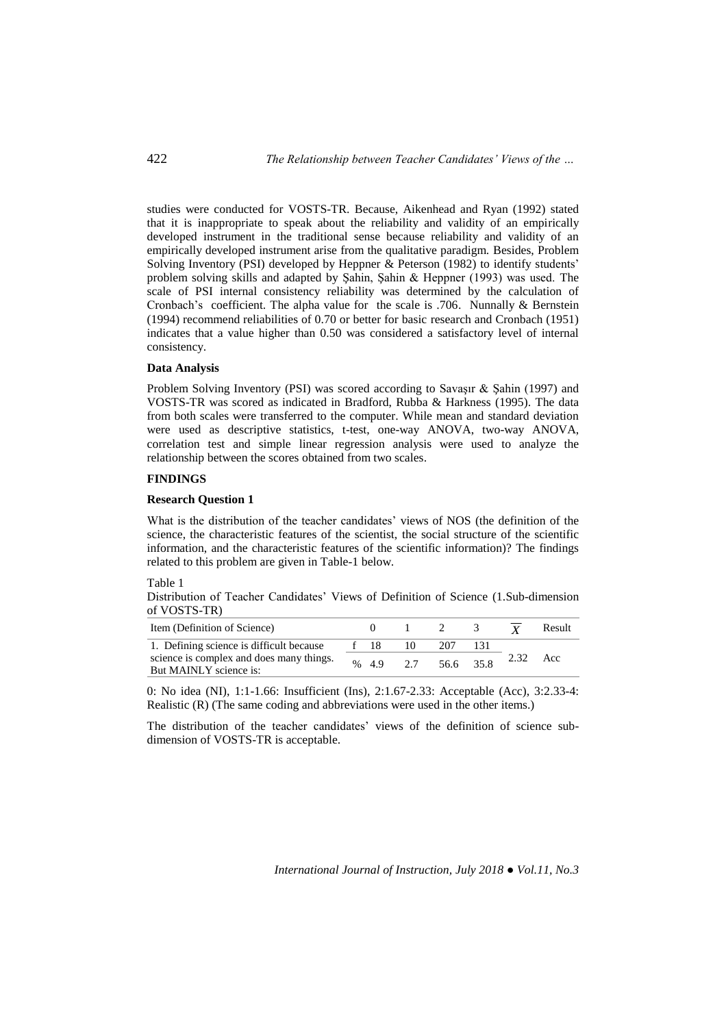studies were conducted for VOSTS-TR. Because, Aikenhead and Ryan (1992) stated that it is inappropriate to speak about the reliability and validity of an empirically developed instrument in the traditional sense because reliability and validity of an empirically developed instrument arise from the qualitative paradigm. Besides, Problem Solving Inventory (PSI) developed by Heppner & Peterson (1982) to identify students' problem solving skills and adapted by Şahin, Şahin & Heppner (1993) was used. The scale of PSI internal consistency reliability was determined by the calculation of Cronbach's coefficient. The alpha value for the scale is .706. Nunnally & Bernstein (1994) recommend reliabilities of 0.70 or better for basic research and Cronbach (1951) indicates that a value higher than 0.50 was considered a satisfactory level of internal consistency.

## **Data Analysis**

Problem Solving Inventory (PSI) was scored according to Savaşır & Şahin (1997) and VOSTS-TR was scored as indicated in Bradford, Rubba & Harkness (1995). The data from both scales were transferred to the computer. While mean and standard deviation were used as descriptive statistics, t-test, one-way ANOVA, two-way ANOVA, correlation test and simple linear regression analysis were used to analyze the relationship between the scores obtained from two scales.

# **FINDINGS**

# **Research Question 1**

What is the distribution of the teacher candidates' views of NOS (the definition of the science, the characteristic features of the scientist, the social structure of the scientific information, and the characteristic features of the scientific information)? The findings related to this problem are given in Table-1 below.

## Table 1

Distribution of Teacher Candidates' Views of Definition of Science (1.Sub-dimension of VOSTS-TR)

| Item (Definition of Science)                                       |      |    |           |      | Result |
|--------------------------------------------------------------------|------|----|-----------|------|--------|
| 1. Defining science is difficult because                           | - 18 |    | 207       |      |        |
| science is complex and does many things.<br>But MAINLY science is: | % 49 | 27 | 56.6 35.8 | 2.32 | Acc    |

0: No idea (NI), 1:1-1.66: Insufficient (Ins), 2:1.67-2.33: Acceptable (Acc), 3:2.33-4: Realistic (R) (The same coding and abbreviations were used in the other items.)

The distribution of the teacher candidates' views of the definition of science subdimension of VOSTS-TR is acceptable.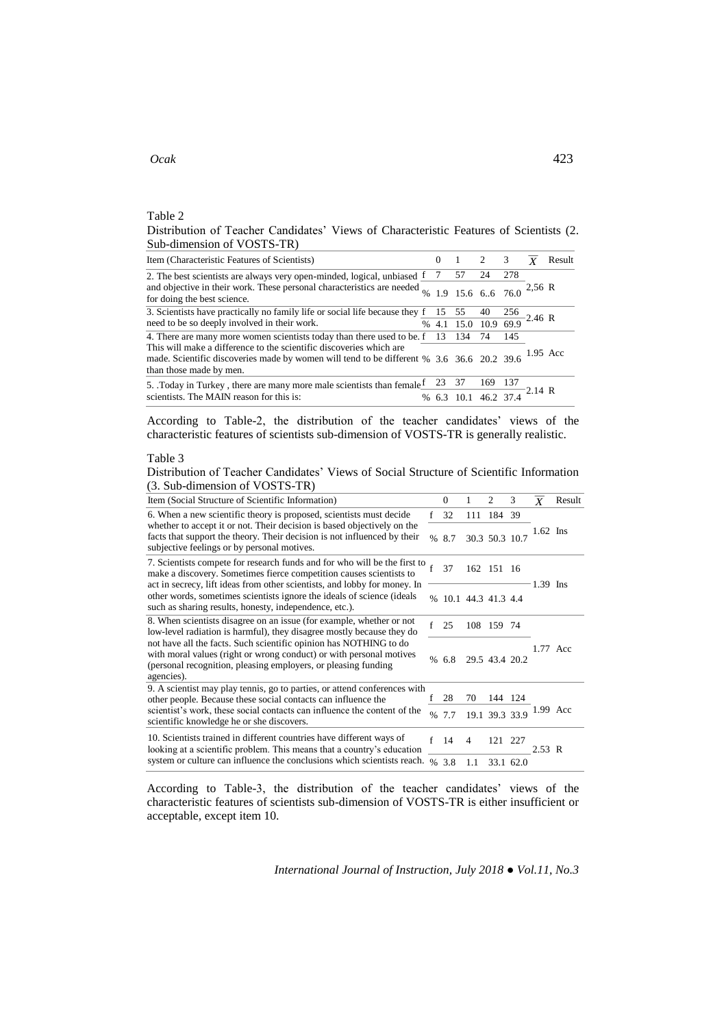# *Ocak* 423

Table 2

Distribution of Teacher Candidates' Views of Characteristic Features of Scientists (2. Sub-dimension of VOSTS-TR)

| Item (Characteristic Features of Scientists)                                                                                                                                                                    | $0 \t1 \t2 \t3$                                |      |       |           | Result |
|-----------------------------------------------------------------------------------------------------------------------------------------------------------------------------------------------------------------|------------------------------------------------|------|-------|-----------|--------|
| 2. The best scientists are always very open-minded, logical, unbiased $\frac{f}{c}$ 7 57                                                                                                                        |                                                | -24  | 278   |           |        |
| and objective in their work. These personal characteristics are needed $\frac{6}{96}$ 1.9 15.6 6.6 76.0 2.56 R<br>for doing the best science.                                                                   |                                                |      |       |           |        |
| 3. Scientists have practically no family life or social life because they $f = 15$ 55                                                                                                                           |                                                | 40   | 256   |           |        |
| need to be so deeply involved in their work.                                                                                                                                                                    | % 4.1 15.0 10.9 69.9 2.46 R                    |      |       |           |        |
| 4. There are many more women scientists today than there used to be. f 13 134                                                                                                                                   |                                                | -74  | 145   |           |        |
| This will make a difference to the scientific discoveries which are<br>made. Scientific discoveries made by women will tend to be different % 3.6 36.6 20.2 39.6 <sup>1.95</sup> Acc<br>than those made by men. |                                                |      |       |           |        |
| 5. Today in Turkey, there are many more male scientists than female                                                                                                                                             | 23 37                                          | -169 | - 137 |           |        |
| scientists. The MAIN reason for this is:                                                                                                                                                                        | % $6.\overline{3}$ $\overline{10.1}$ 46.2 37.4 |      |       | $-2.14$ R |        |

According to Table-2, the distribution of the teacher candidates' views of the characteristic features of scientists sub-dimension of VOSTS-TR is generally realistic.

## Table 3

Distribution of Teacher Candidates' Views of Social Structure of Scientific Information (3. Sub-dimension of VOSTS-TR)

| Item (Social Structure of Scientific Information)                                                                                                                                                                                                                                                                                                                              |               | $\Omega$             | 1   | 2              | 3         | $\boldsymbol{X}$ | Result |
|--------------------------------------------------------------------------------------------------------------------------------------------------------------------------------------------------------------------------------------------------------------------------------------------------------------------------------------------------------------------------------|---------------|----------------------|-----|----------------|-----------|------------------|--------|
| 6. When a new scientific theory is proposed, scientists must decide                                                                                                                                                                                                                                                                                                            | f             | 32                   |     | 111 184 39     |           |                  |        |
| whether to accept it or not. Their decision is based objectively on the<br>facts that support the theory. Their decision is not influenced by their<br>subjective feelings or by personal motives.                                                                                                                                                                             | $\frac{0}{0}$ | 8.7                  |     | 30.3 50.3 10.7 |           | 1.62 Ins         |        |
| 7. Scientists compete for research funds and for who will be the first to<br>make a discovery. Sometimes fierce competition causes scientists to<br>act in secrecy, lift ideas from other scientists, and lobby for money. In<br>other words, sometimes scientists ignore the ideals of science (ideals<br>such as sharing results, honesty, independence, etc.).              |               | 37                   | 162 | 151 16         |           |                  |        |
|                                                                                                                                                                                                                                                                                                                                                                                |               | % 10.1 44.3 41.3 4.4 |     |                |           | $-1.39$ Ins      |        |
| 8. When scientists disagree on an issue (for example, whether or not<br>f<br>low-level radiation is harmful), they disagree mostly because they do<br>not have all the facts. Such scientific opinion has NOTHING to do<br>with moral values (right or wrong conduct) or with personal motives<br>(personal recognition, pleasing employers, or pleasing funding<br>agencies). |               | 25                   |     | 108 159 74     |           |                  |        |
|                                                                                                                                                                                                                                                                                                                                                                                |               | % 6.8                |     | 29.5 43.4 20.2 |           | 1.77 Acc         |        |
| 9. A scientist may play tennis, go to parties, or attend conferences with<br>other people. Because these social contacts can influence the<br>scientist's work, these social contacts can influence the content of the<br>scientific knowledge he or she discovers.                                                                                                            |               | 28                   | 70  | 144 124        |           |                  |        |
|                                                                                                                                                                                                                                                                                                                                                                                |               | 7.7                  |     | 19.1 39.3 33.9 |           | 1.99 Acc         |        |
| 10. Scientists trained in different countries have different ways of<br>looking at a scientific problem. This means that a country's education<br>system or culture can influence the conclusions which scientists reach.                                                                                                                                                      |               | -14                  | 4   | 121 227        |           | 2.53 R           |        |
|                                                                                                                                                                                                                                                                                                                                                                                |               | % 3.8                | 1.1 |                | 33.1 62.0 |                  |        |

According to Table-3, the distribution of the teacher candidates' views of the characteristic features of scientists sub-dimension of VOSTS-TR is either insufficient or acceptable, except item 10.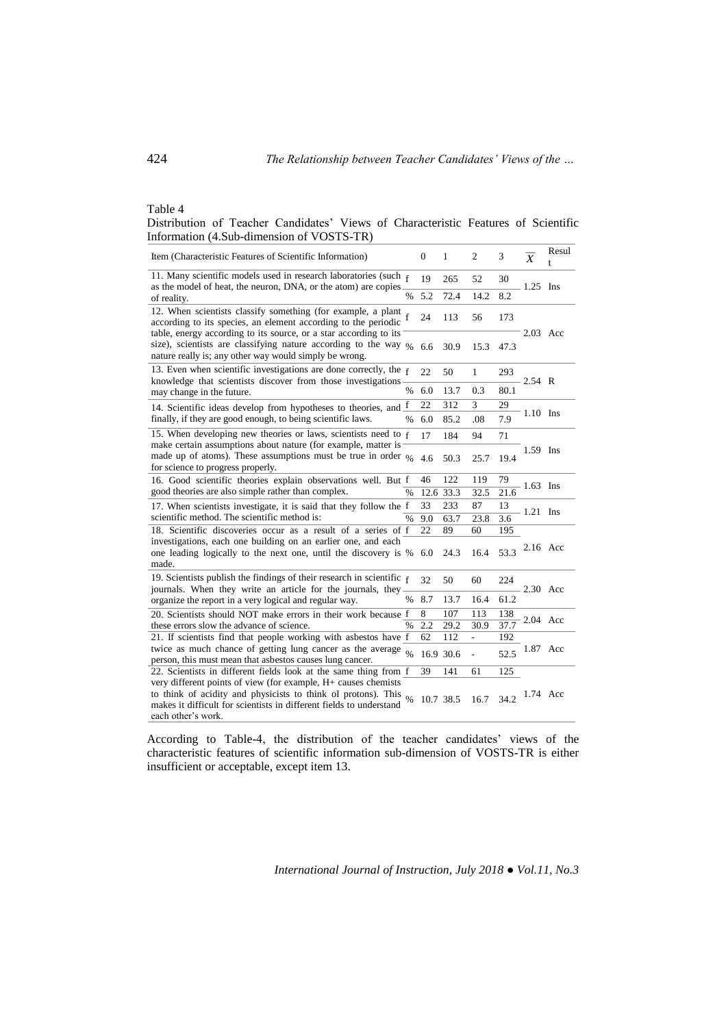# Table 4

Distribution of Teacher Candidates' Views of Characteristic Features of Scientific Information (4.Sub-dimension of VOSTS-TR)

| Item (Characteristic Features of Scientific Information)                                                                                                                                                                     |               | $\boldsymbol{0}$ | 1    | $\overline{2}$ | 3    | $\overline{X}$ | Resul |
|------------------------------------------------------------------------------------------------------------------------------------------------------------------------------------------------------------------------------|---------------|------------------|------|----------------|------|----------------|-------|
| 11. Many scientific models used in research laboratories (such $_f$<br>as the model of heat, the neuron, DNA, or the atom) are copies.                                                                                       |               | 19               | 265  | 52             | 30   | $-1.25$ Ins    |       |
| of reality.                                                                                                                                                                                                                  | $\%$          | 5.2              | 72.4 | 14.2           | 8.2  |                |       |
| 12. When scientists classify something (for example, a plant<br>according to its species, an element according to the periodic                                                                                               |               | 24               | 113  | 56             | 173  |                |       |
| table, energy according to its source, or a star according to its<br>size), scientists are classifying nature according to the way $\frac{9}{6}$<br>nature really is; any other way would simply be wrong.                   |               | 6.6              | 30.9 | 15.3           | 47.3 | 2.03 Acc       |       |
| 13. Even when scientific investigations are done correctly, the $f$<br>knowledge that scientists discover from those investigations–                                                                                         |               | 22               | 50   | $\mathbf{1}$   | 293  | 2.54 R         |       |
| may change in the future.                                                                                                                                                                                                    | %             | 6.0              | 13.7 | 0.3            | 80.1 |                |       |
| 14. Scientific ideas develop from hypotheses to theories, and $\underline{f}$                                                                                                                                                |               | 22               | 312  | 3              | 29   |                |       |
| finally, if they are good enough, to being scientific laws.                                                                                                                                                                  | $\frac{0}{0}$ | 6.0              | 85.2 | .08            | 7.9  | 1.10 Ins       |       |
| 15. When developing new theories or laws, scientists need to f                                                                                                                                                               |               | 17               | 184  | 94             | 71   |                |       |
| make certain assumptions about nature (for example, matter is<br>made up of atoms). These assumptions must be true in order $\frac{6}{96}$<br>for science to progress properly.                                              |               | 4.6              | 50.3 | 25.7           | 19.4 | 1.59 Ins       |       |
| 16. Good scientific theories explain observations well. But f                                                                                                                                                                |               | 46               | 122  | 119            | 79   | - 1.63 Ins     |       |
| good theories are also simple rather than complex.<br>$\frac{0}{0}$                                                                                                                                                          |               | 12.6 33.3        |      | 32.5           | 21.6 |                |       |
| 17. When scientists investigate, it is said that they follow the f                                                                                                                                                           |               | 33               | 233  | 87             | 13   | $1.21$ Ins     |       |
| scientific method. The scientific method is:                                                                                                                                                                                 | %             | 9.0              | 63.7 | 23.8           | 3.6  |                |       |
| 18. Scientific discoveries occur as a result of a series of f                                                                                                                                                                |               | 22               | 89   | 60             | 195  |                |       |
| investigations, each one building on an earlier one, and each<br>one leading logically to the next one, until the discovery is %<br>made.                                                                                    |               | 6.0              | 24.3 | 16.4           | 53.3 | 2.16 Acc       |       |
| 19. Scientists publish the findings of their research in scientific $f$<br>journals. When they write an article for the journals, they                                                                                       |               | 32               | 50   | 60             | 224  | 2.30 Acc       |       |
| organize the report in a very logical and regular way.                                                                                                                                                                       | $\%$          | 8.7              | 13.7 | 16.4           | 61.2 |                |       |
| 20. Scientists should NOT make errors in their work because f                                                                                                                                                                |               | 8                | 107  | 113            | 138  |                |       |
| these errors slow the advance of science.                                                                                                                                                                                    | $\frac{0}{0}$ | 2.2              | 29.2 | 30.9           | 37.7 | 2.04 Acc       |       |
| 21. If scientists find that people working with asbestos have f                                                                                                                                                              |               | 62               | 112  | $\overline{a}$ | 192  |                |       |
| twice as much chance of getting lung cancer as the average<br>person, this must mean that asbestos causes lung cancer.                                                                                                       | $\frac{0}{6}$ | 16.9 30.6        |      | ÷,             | 52.5 | 1.87 Acc       |       |
| 22. Scientists in different fields look at the same thing from f                                                                                                                                                             |               | 39               | 141  | 61             | 125  |                |       |
| very different points of view (for example, H+ causes chemists<br>to think of acidity and physicists to think of protons). This<br>makes it difficult for scientists in different fields to understand<br>each other's work. |               | 10.7 38.5        |      | 16.7           | 34.2 | 1.74 Acc       |       |

According to Table-4, the distribution of the teacher candidates' views of the characteristic features of scientific information sub-dimension of VOSTS-TR is either insufficient or acceptable, except item 13.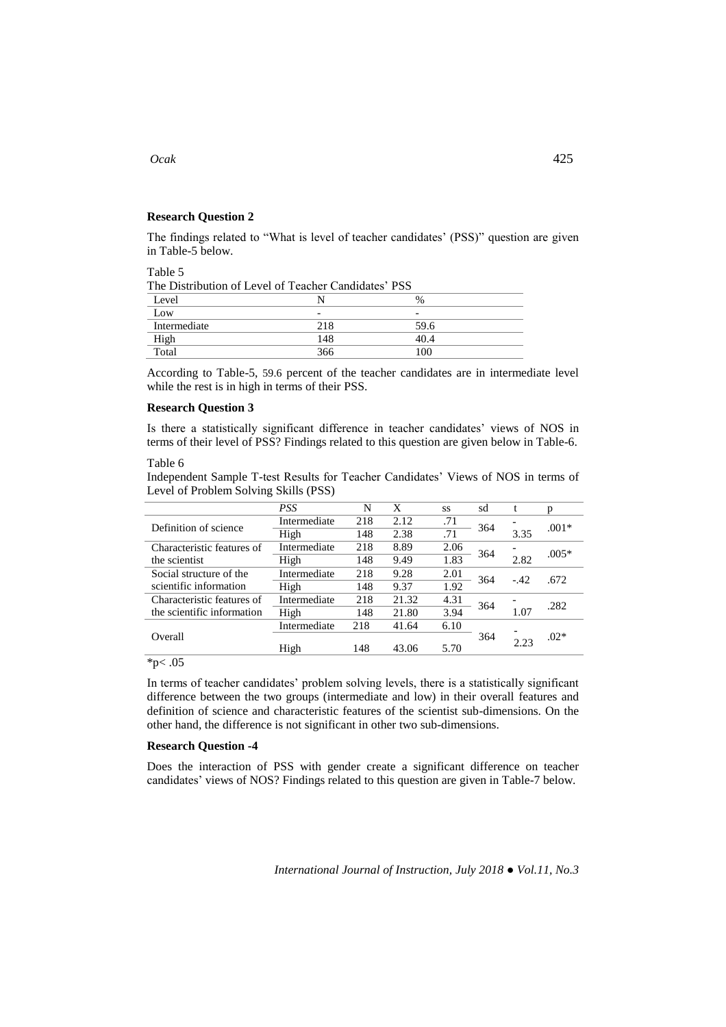## **Research Question 2**

The findings related to "What is level of teacher candidates' (PSS)" question are given in Table-5 below.

Table 5

| The Distribution of Level of Teacher Candidates' PSS |                          |                          |  |
|------------------------------------------------------|--------------------------|--------------------------|--|
| Level                                                |                          | $\frac{0}{0}$            |  |
| Low                                                  | $\overline{\phantom{0}}$ | $\overline{\phantom{0}}$ |  |
| Intermediate                                         | 218                      | 59.6                     |  |
| High                                                 | 148                      | 40.4                     |  |
| Total                                                | 366                      | 100                      |  |

According to Table-5, 59.6 percent of the teacher candidates are in intermediate level while the rest is in high in terms of their PSS.

# **Research Question 3**

Is there a statistically significant difference in teacher candidates' views of NOS in terms of their level of PSS? Findings related to this question are given below in Table-6.

## Table 6

Independent Sample T-test Results for Teacher Candidates' Views of NOS in terms of Level of Problem Solving Skills (PSS)

|                            | <b>PSS</b>   | N   | X     | SS   | sd  | t     | n       |
|----------------------------|--------------|-----|-------|------|-----|-------|---------|
| Definition of science      | Intermediate | 218 | 2.12  | .71  | 364 |       | $.001*$ |
|                            | High         | 148 | 2.38  | .71  |     | 3.35  |         |
| Characteristic features of | Intermediate | 218 | 8.89  | 2.06 | 364 |       | $.005*$ |
| the scientist              | High         | 148 | 9.49  | 1.83 |     | 2.82  |         |
| Social structure of the    | Intermediate | 218 | 9.28  | 2.01 | 364 | $-42$ | .672    |
| scientific information     | High         | 148 | 9.37  | 1.92 |     |       |         |
| Characteristic features of | Intermediate | 218 | 21.32 | 4.31 | 364 |       | .282    |
| the scientific information | High         | 148 | 21.80 | 3.94 |     | 1.07  |         |
|                            | Intermediate | 218 | 41.64 | 6.10 |     |       |         |
| Overall                    |              |     |       |      | 364 |       | $.02*$  |
|                            | High         | 148 | 43.06 | 5.70 |     | 2.23  |         |
|                            |              |     |       |      |     |       |         |

# $*_{p < .05}$

In terms of teacher candidates' problem solving levels, there is a statistically significant difference between the two groups (intermediate and low) in their overall features and definition of science and characteristic features of the scientist sub-dimensions. On the other hand, the difference is not significant in other two sub-dimensions.

## **Research Question -4**

Does the interaction of PSS with gender create a significant difference on teacher candidates' views of NOS? Findings related to this question are given in Table-7 below.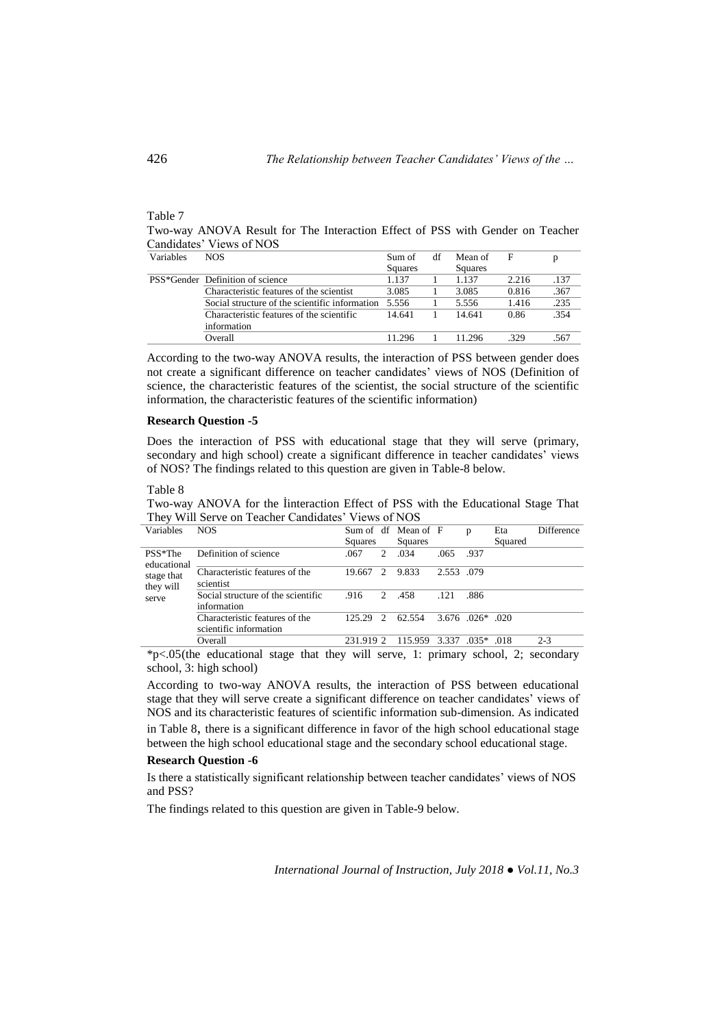#### Table 7

Two-way ANOVA Result for The Interaction Effect of PSS with Gender on Teacher Candidates' Views of NOS

| Variables | NOS                                                  | Sum of  | df | Mean of |       | D    |
|-----------|------------------------------------------------------|---------|----|---------|-------|------|
|           |                                                      | Squares |    | Squares |       |      |
|           | PSS*Gender Definition of science                     | 1.137   |    | 1.137   | 2.216 | .137 |
|           | Characteristic features of the scientist             | 3.085   |    | 3.085   | 0.816 | .367 |
|           | Social structure of the scientific information 5.556 |         |    | 5.556   | 1.416 | .235 |
|           | Characteristic features of the scientific            | 14.641  |    | 14.641  | 0.86  | 354  |
|           | information                                          |         |    |         |       |      |
|           | Overall                                              | 11.296  |    | 11.296  | .329  | .567 |

According to the two-way ANOVA results, the interaction of PSS between gender does not create a significant difference on teacher candidates' views of NOS (Definition of science, the characteristic features of the scientist, the social structure of the scientific information, the characteristic features of the scientific information)

## **Research Question -5**

Does the interaction of PSS with educational stage that they will serve (primary, secondary and high school) create a significant difference in teacher candidates' views of NOS? The findings related to this question are given in Table-8 below.

Table 8

Two-way ANOVA for the İinteraction Effect of PSS with the Educational Stage That They Will Serve on Teacher Candidates' Views of NOS

| Variables   | <b>NOS</b>                         |           |                             | Sum of df Mean of F |                       | p           | Eta     | <b>Difference</b> |
|-------------|------------------------------------|-----------|-----------------------------|---------------------|-----------------------|-------------|---------|-------------------|
|             |                                    | Squares   |                             | Squares             |                       |             | Squared |                   |
| $PSS*The$   | Definition of science              | .067      | $\mathcal{D}_{\mathcal{L}}$ | .034                | .065                  | .937        |         |                   |
| educational |                                    |           |                             |                     |                       |             |         |                   |
| stage that  | Characteristic features of the     | 19.667 2  |                             | 9.833               | 2.553 .079            |             |         |                   |
| they will   | scientist                          |           |                             |                     |                       |             |         |                   |
| serve       | Social structure of the scientific | .916      | $2^{1}$                     | .458                | .121                  | .886        |         |                   |
|             | information                        |           |                             |                     |                       |             |         |                   |
|             | Characteristic features of the     | 125.29 2  |                             | 62.554              | $3.676$ $0.026*$ 0.20 |             |         |                   |
|             | scientific information             |           |                             |                     |                       |             |         |                   |
|             | Overall                            | 231.919 2 |                             | 115.959             | 3.337                 | $.035*$ 018 |         | $2 - 3$           |

\*p<.05(the educational stage that they will serve, 1: primary school, 2; secondary school, 3: high school)

According to two-way ANOVA results, the interaction of PSS between educational stage that they will serve create a significant difference on teacher candidates' views of NOS and its characteristic features of scientific information sub-dimension. As indicated in Table 8, there is a significant difference in favor of the high school educational stage between the high school educational stage and the secondary school educational stage.

#### **Research Question -6**

Is there a statistically significant relationship between teacher candidates' views of NOS and PSS?

The findings related to this question are given in Table-9 below.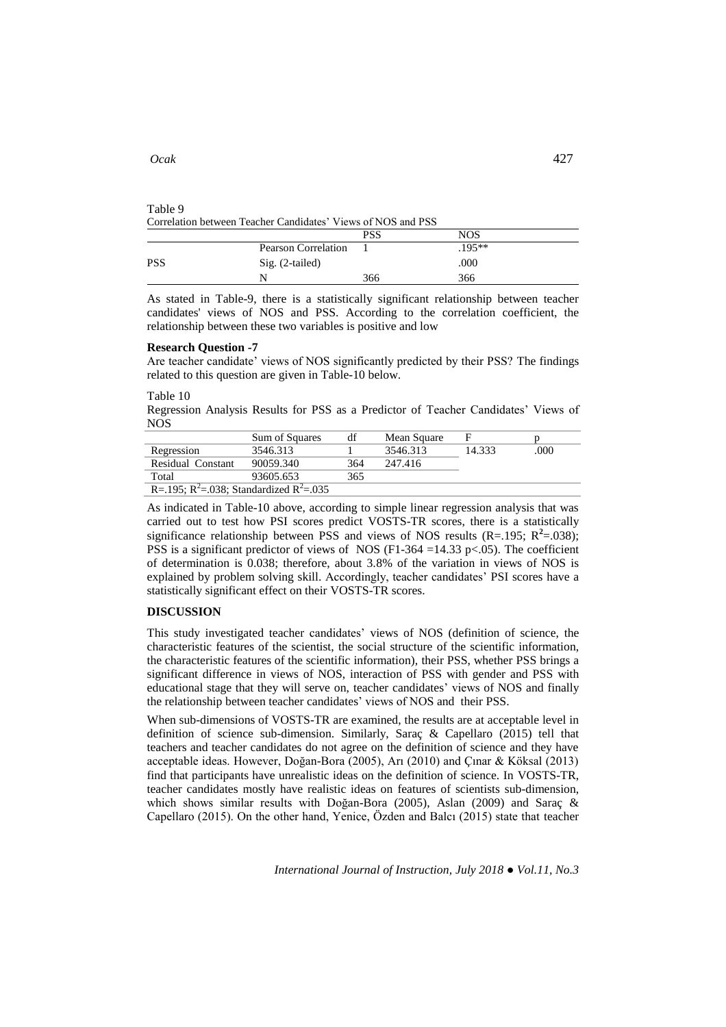# Table 9 Correlation between Teacher Candidates' Views of NOS and PSS

|            |                            | PSS | NOS     |
|------------|----------------------------|-----|---------|
|            | <b>Pearson Correlation</b> |     | $195**$ |
| <b>PSS</b> | Sig. (2-tailed)            |     | .000    |
|            | N                          | 366 | 366     |

As stated in Table-9, there is a statistically significant relationship between teacher candidates' views of NOS and PSS. According to the correlation coefficient, the relationship between these two variables is positive and low

#### **Research Question -7**

Are teacher candidate' views of NOS significantly predicted by their PSS? The findings related to this question are given in Table-10 below.

Table 10

Regression Analysis Results for PSS as a Predictor of Teacher Candidates' Views of NOS

|                                                                 | Sum of Squares | df  | Mean Square |        |      |
|-----------------------------------------------------------------|----------------|-----|-------------|--------|------|
| Regression                                                      | 3546.313       |     | 3546.313    | 14.333 | .000 |
| Residual Constant                                               | 90059.340      | 364 | 247.416     |        |      |
| Total                                                           | 93605.653      | 365 |             |        |      |
| R=.195; R <sup>2</sup> =.038; Standardized R <sup>2</sup> =.035 |                |     |             |        |      |

As indicated in Table-10 above, according to simple linear regression analysis that was carried out to test how PSI scores predict VOSTS-TR scores, there is a statistically significance relationship between PSS and views of NOS results  $(R=195; R^2=038)$ ; PSS is a significant predictor of views of NOS (F1-364 =14.33 p <.05). The coefficient of determination is 0.038; therefore, about 3.8% of the variation in views of NOS is explained by problem solving skill. Accordingly, teacher candidates' PSI scores have a statistically significant effect on their VOSTS-TR scores.

## **DISCUSSION**

This study investigated teacher candidates' views of NOS (definition of science, the characteristic features of the scientist, the social structure of the scientific information, the characteristic features of the scientific information), their PSS, whether PSS brings a significant difference in views of NOS, interaction of PSS with gender and PSS with educational stage that they will serve on, teacher candidates' views of NOS and finally the relationship between teacher candidates' views of NOS and their PSS.

When sub-dimensions of VOSTS-TR are examined, the results are at acceptable level in definition of science sub-dimension. Similarly, Saraç & Capellaro (2015) tell that teachers and teacher candidates do not agree on the definition of science and they have acceptable ideas. However, Doğan-Bora (2005), Arı (2010) and Çınar & Köksal (2013) find that participants have unrealistic ideas on the definition of science. In VOSTS-TR, teacher candidates mostly have realistic ideas on features of scientists sub-dimension, which shows similar results with Doğan-Bora (2005), Aslan (2009) and Saraç & Capellaro (2015). On the other hand, Yenice, Özden and Balcı (2015) state that teacher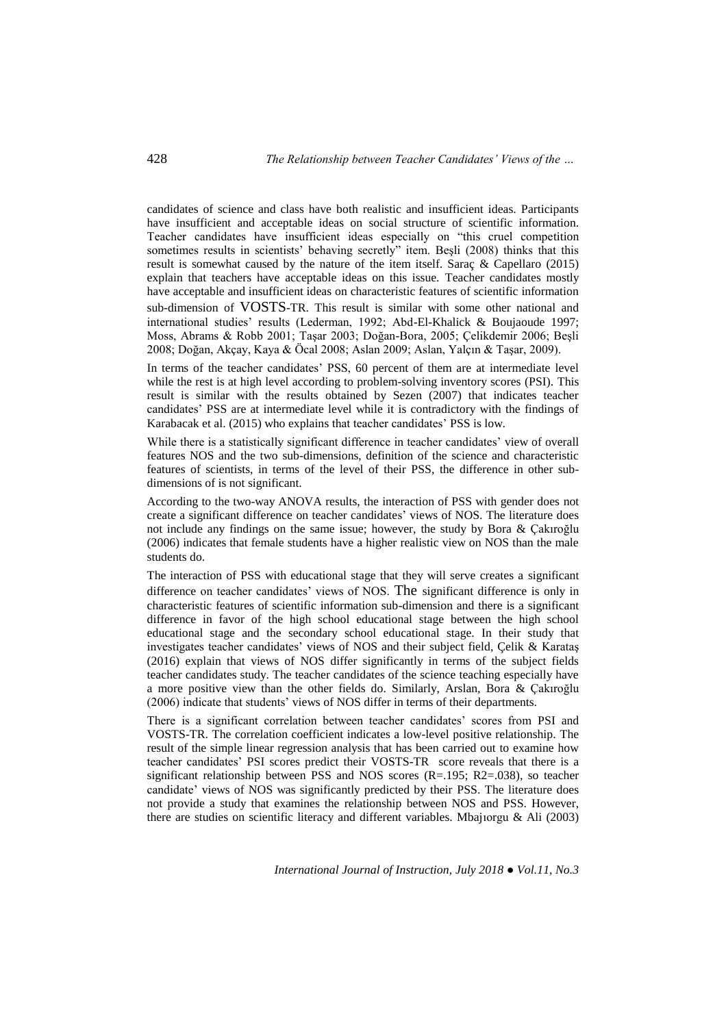candidates of science and class have both realistic and insufficient ideas. Participants have insufficient and acceptable ideas on social structure of scientific information. Teacher candidates have insufficient ideas especially on "this cruel competition sometimes results in scientists' behaving secretly" item. Beşli (2008) thinks that this result is somewhat caused by the nature of the item itself. Saraç & Capellaro (2015) explain that teachers have acceptable ideas on this issue. Teacher candidates mostly have acceptable and insufficient ideas on characteristic features of scientific information sub-dimension of VOSTS-TR. This result is similar with some other national and international studies' results (Lederman, 1992; Abd-El-Khalick & Boujaoude 1997; Moss, Abrams & Robb 2001; Taşar 2003; Doğan-Bora, 2005; Çelikdemir 2006; Beşli 2008; Doğan, Akçay, Kaya & Öcal 2008; Aslan 2009; Aslan, Yalçın & Taşar, 2009).

In terms of the teacher candidates' PSS, 60 percent of them are at intermediate level while the rest is at high level according to problem-solving inventory scores (PSI). This result is similar with the results obtained by Sezen (2007) that indicates teacher candidates' PSS are at intermediate level while it is contradictory with the findings of Karabacak et al. (2015) who explains that teacher candidates' PSS is low.

While there is a statistically significant difference in teacher candidates' view of overall features NOS and the two sub-dimensions, definition of the science and characteristic features of scientists, in terms of the level of their PSS, the difference in other subdimensions of is not significant.

According to the two-way ANOVA results, the interaction of PSS with gender does not create a significant difference on teacher candidates' views of NOS. The literature does not include any findings on the same issue; however, the study by Bora & Çakıroğlu (2006) indicates that female students have a higher realistic view on NOS than the male students do.

The interaction of PSS with educational stage that they will serve creates a significant difference on teacher candidates' views of NOS. The significant difference is only in characteristic features of scientific information sub-dimension and there is a significant difference in favor of the high school educational stage between the high school educational stage and the secondary school educational stage. In their study that investigates teacher candidates' views of NOS and their subject field, Çelik & Karataş (2016) explain that views of NOS differ significantly in terms of the subject fields teacher candidates study. The teacher candidates of the science teaching especially have a more positive view than the other fields do. Similarly, Arslan, Bora & Çakıroğlu (2006) indicate that students' views of NOS differ in terms of their departments.

There is a significant correlation between teacher candidates' scores from PSI and VOSTS-TR. The correlation coefficient indicates a low-level positive relationship. The result of the simple linear regression analysis that has been carried out to examine how teacher candidates' PSI scores predict their VOSTS-TR score reveals that there is a significant relationship between PSS and NOS scores  $(R=.195; R2=.038)$ , so teacher candidate' views of NOS was significantly predicted by their PSS. The literature does not provide a study that examines the relationship between NOS and PSS. However, there are studies on scientific literacy and different variables. Mbajıorgu & Ali (2003)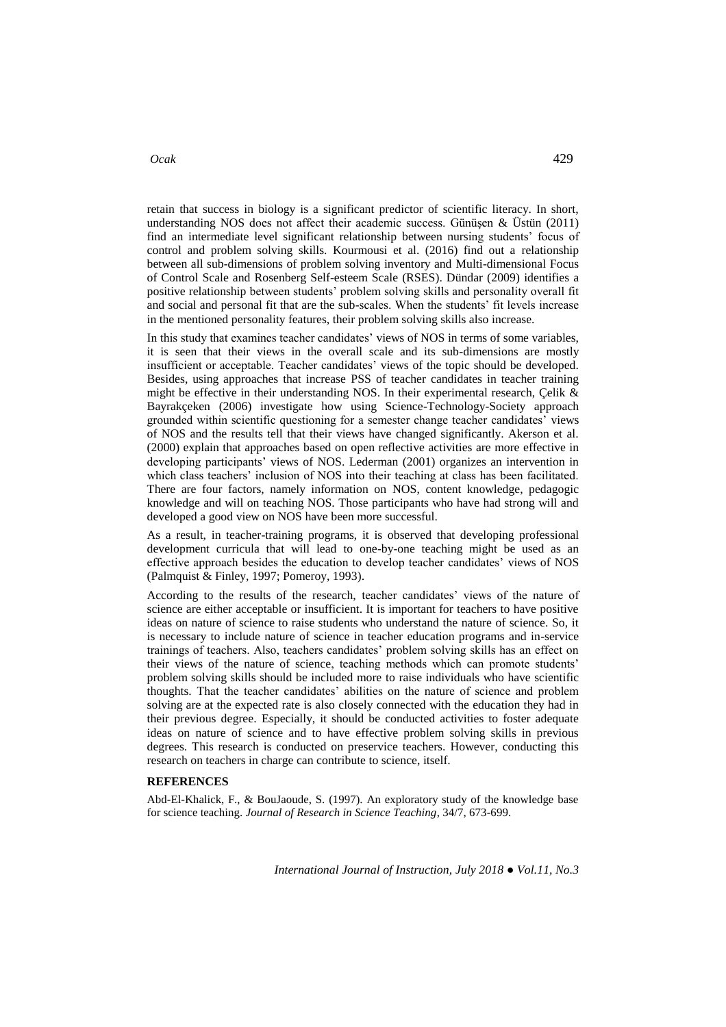## *Ocak* 429

retain that success in biology is a significant predictor of scientific literacy. In short, understanding NOS does not affect their academic success. Günüsen & Üstün  $(2011)$ find an intermediate level significant relationship between nursing students' focus of control and problem solving skills. Kourmousi et al. (2016) find out a relationship between all sub-dimensions of problem solving inventory and Multi-dimensional Focus of Control Scale and Rosenberg Self-esteem Scale (RSES). Dündar (2009) identifies a positive relationship between students' problem solving skills and personality overall fit and social and personal fit that are the sub-scales. When the students' fit levels increase in the mentioned personality features, their problem solving skills also increase.

In this study that examines teacher candidates' views of NOS in terms of some variables, it is seen that their views in the overall scale and its sub-dimensions are mostly insufficient or acceptable. Teacher candidates' views of the topic should be developed. Besides, using approaches that increase PSS of teacher candidates in teacher training might be effective in their understanding NOS. In their experimental research, Çelik & Bayrakçeken (2006) investigate how using Science-Technology-Society approach grounded within scientific questioning for a semester change teacher candidates' views of NOS and the results tell that their views have changed significantly. Akerson et al. (2000) explain that approaches based on open reflective activities are more effective in developing participants' views of NOS. Lederman (2001) organizes an intervention in which class teachers' inclusion of NOS into their teaching at class has been facilitated. There are four factors, namely information on NOS, content knowledge, pedagogic knowledge and will on teaching NOS. Those participants who have had strong will and developed a good view on NOS have been more successful.

As a result, in teacher-training programs, it is observed that developing professional development curricula that will lead to one-by-one teaching might be used as an effective approach besides the education to develop teacher candidates' views of NOS (Palmquist & Finley, 1997; Pomeroy, 1993).

According to the results of the research, teacher candidates' views of the nature of science are either acceptable or insufficient. It is important for teachers to have positive ideas on nature of science to raise students who understand the nature of science. So, it is necessary to include nature of science in teacher education programs and in-service trainings of teachers. Also, teachers candidates' problem solving skills has an effect on their views of the nature of science, teaching methods which can promote students' problem solving skills should be included more to raise individuals who have scientific thoughts. That the teacher candidates' abilities on the nature of science and problem solving are at the expected rate is also closely connected with the education they had in their previous degree. Especially, it should be conducted activities to foster adequate ideas on nature of science and to have effective problem solving skills in previous degrees. This research is conducted on preservice teachers. However, conducting this research on teachers in charge can contribute to science, itself.

# **REFERENCES**

Abd-El-Khalick, F., & BouJaoude, S. (1997). An exploratory study of the knowledge base for science teaching. *Journal of Research in Science Teaching*, 34/7, 673-699.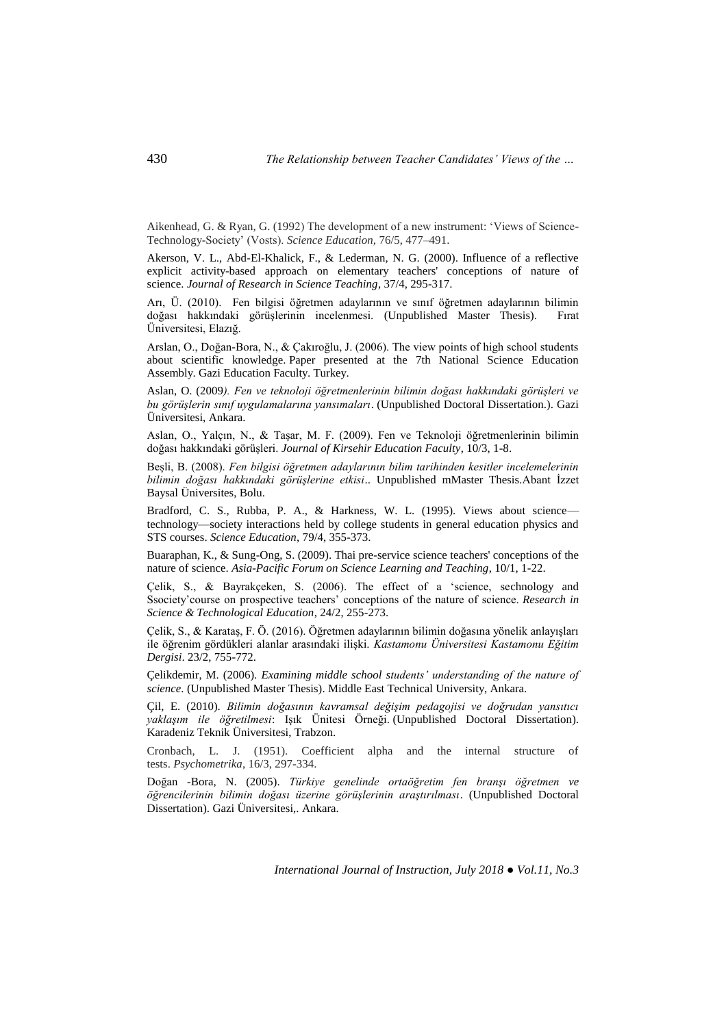Aikenhead, G. & Ryan, G. (1992) The development of a new instrument: 'Views of Science-Technology-Society' (Vosts). *Science Education,* 76/5, 477–491.

Akerson, V. L., Abd-El-Khalick, F., & Lederman, N. G. (2000). Influence of a reflective explicit activity-based approach on elementary teachers' conceptions of nature of science. *Journal of Research in Science Teaching*, 37/4, 295-317.

Arı, Ü. (2010). Fen bilgisi öğretmen adaylarının ve sınıf öğretmen adaylarının bilimin doğası hakkındaki görüşlerinin incelenmesi. (Unpublished Master Thesis). Üniversitesi, Elazığ.

Arslan, O., Doğan-Bora, N., & Çakıroğlu, J. (2006). The view points of high school students about scientific knowledge. Paper presented at the 7th National Science Education Assembly. Gazi Education Faculty. Turkey.

Aslan, O. (2009*). Fen ve teknoloji öğretmenlerinin bilimin doğası hakkındaki görüşleri ve bu görüşlerin sınıf uygulamalarına yansımaları*. (Unpublished Doctoral Dissertation.). Gazi Üniversitesi, Ankara.

Aslan, O., Yalçın, N., & Taşar, M. F. (2009). Fen ve Teknoloji öğretmenlerinin bilimin doğası hakkındaki görüşleri. *Journal of Kirsehir Education Faculty*, 10/3, 1-8.

Beşli, B. (2008). *Fen bilgisi öğretmen adaylarının bilim tarihinden kesitler incelemelerinin bilimin doğası hakkındaki görüşlerine etkisi*.. Unpublished mMaster Thesis.Abant İzzet Baysal Üniversites, Bolu.

Bradford, C. S., Rubba, P. A., & Harkness, W. L. (1995). Views about sciencetechnology—society interactions held by college students in general education physics and STS courses. *Science Education*, 79/4, 355-373.

Buaraphan, K., & Sung-Ong, S. (2009). Thai pre-service science teachers' conceptions of the nature of science. *Asia-Pacific Forum on Science Learning and Teaching*, 10/1, 1-22.

Çelik, S., & Bayrakçeken, S. (2006). The effect of a 'science, sechnology and Ssociety'course on prospective teachers' conceptions of the nature of science. *Research in Science & Technological Education*, 24/2, 255-273.

Çelik, S., & Karataş, F. Ö. (2016). Öğretmen adaylarının bilimin doğasına yönelik anlayışları ile öğrenim gördükleri alanlar arasındaki ilişki. *Kastamonu Üniversitesi Kastamonu Eğitim Dergisi*. 23/2, 755-772.

Çelikdemir, M. (2006). *Examining middle school students' understanding of the nature of science*. (Unpublished Master Thesis). Middle East Technical University, Ankara.

Çil, E. (2010). *Bilimin doğasının kavramsal değişim pedagojisi ve doğrudan yansıtıcı yaklaşım ile öğretilmesi*: Işık Ünitesi Örneği. (Unpublished Doctoral Dissertation). Karadeniz Teknik Üniversitesi, Trabzon.

Cronbach, L. J. (1951). Coefficient alpha and the internal structure of tests. *Psychometrika*, 16/3, 297-334.

Doğan -Bora, N. (2005). *Türkiye genelinde ortaöğretim fen branşı öğretmen ve öğrencilerinin bilimin doğası üzerine görüşlerinin araştırılması*. (Unpublished Doctoral Dissertation). Gazi Üniversitesi,. Ankara.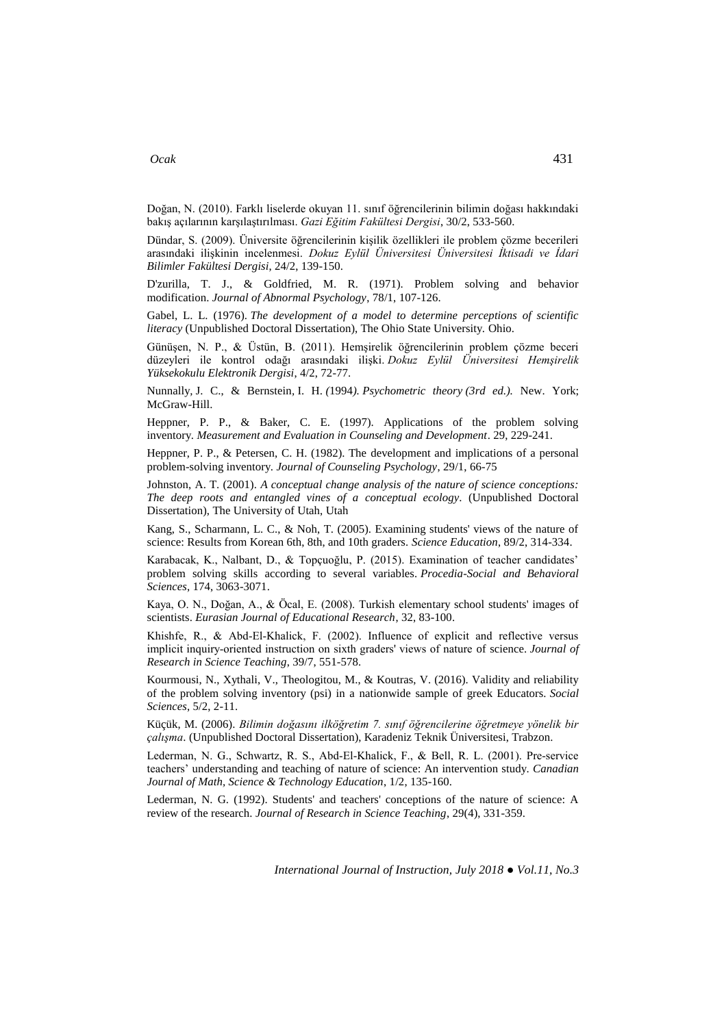# *Ocak* 431

Doğan, N. (2010). Farklı liselerde okuyan 11. sınıf öğrencilerinin bilimin doğası hakkındaki bakış açılarının karşılaştırılması. *Gazi Eğitim Fakültesi Dergisi*, 30/2, 533-560.

Dündar, S. (2009). Üniversite öğrencilerinin kişilik özellikleri ile problem çözme becerileri arasındaki ilişkinin incelenmesi. *Dokuz Eylül Üniversitesi Üniversitesi İktisadi ve İdari Bilimler Fakültesi Dergisi*, 24/2, 139-150.

D'zurilla, T. J., & Goldfried, M. R. (1971). Problem solving and behavior modification. *Journal of Abnormal Psychology*, 78/1, 107-126.

Gabel, L. L. (1976). *The development of a model to determine perceptions of scientific literacy* (Unpublished Doctoral Dissertation), The Ohio State University. Ohio.

Günüşen, N. P., & Üstün, B. (2011). Hemşirelik öğrencilerinin problem çözme beceri düzeyleri ile kontrol odağı arasındaki ilişki. *Dokuz Eylül Üniversitesi Hemşirelik Yüksekokulu Elektronik Dergisi*, 4/2, 72-77.

Nunnally*,* J. C., & Bernstein*,* I. H. *(*1994*). Psychometric theory (3rd ed.).* New. York; McGraw-Hill.

Heppner, P. P., & Baker, C. E. (1997). Applications of the problem solving inventory. *Measurement and Evaluation in Counseling and Development*. 29, 229-241.

Heppner, P. P., & Petersen, C. H. (1982). The development and implications of a personal problem-solving inventory. *Journal of Counseling Psychology*, 29/1, 66-75

Johnston, A. T. (2001). *A conceptual change analysis of the nature of science conceptions: The deep roots and entangled vines of a conceptual ecology*. (Unpublished Doctoral Dissertation), The University of Utah, Utah

Kang, S., Scharmann, L. C., & Noh, T. (2005). Examining students' views of the nature of science: Results from Korean 6th, 8th, and 10th graders. *Science Education*, 89/2, 314-334.

Karabacak, K., Nalbant, D., & Topçuoğlu, P. (2015). Examination of teacher candidates' problem solving skills according to several variables. *Procedia-Social and Behavioral Sciences*, 174, 3063-3071.

Kaya, O. N., Doğan, A., & Öcal, E. (2008). Turkish elementary school students' images of scientists. *Eurasian Journal of Educational Research*, 32, 83-100.

Khishfe, R., & Abd‐El‐Khalick, F. (2002). Influence of explicit and reflective versus implicit inquiry‐oriented instruction on sixth graders' views of nature of science. *Journal of Research in Science Teaching*, 39/7, 551-578.

Kourmousi, N., Xythali, V., Theologitou, M., & Koutras, V. (2016). Validity and reliability of the problem solving inventory (psi) in a nationwide sample of greek Educators. *Social Sciences*, 5/2, 2-11.

Küçük, M. (2006). *Bilimin doğasını ilköğretim 7. sınıf öğrencilerine öğretmeye yönelik bir çalışma*. (Unpublished Doctoral Dissertation), Karadeniz Teknik Üniversitesi, Trabzon.

Lederman, N. G., Schwartz, R. S., Abd‐El‐Khalick, F., & Bell, R. L. (2001). Pre‐service teachers' understanding and teaching of nature of science: An intervention study. *Canadian Journal of Math, Science & Technology Education*, 1/2, 135-160.

Lederman, N. G. (1992). Students' and teachers' conceptions of the nature of science: A review of the research. *Journal of Research in Science Teaching*, 29(4), 331-359.